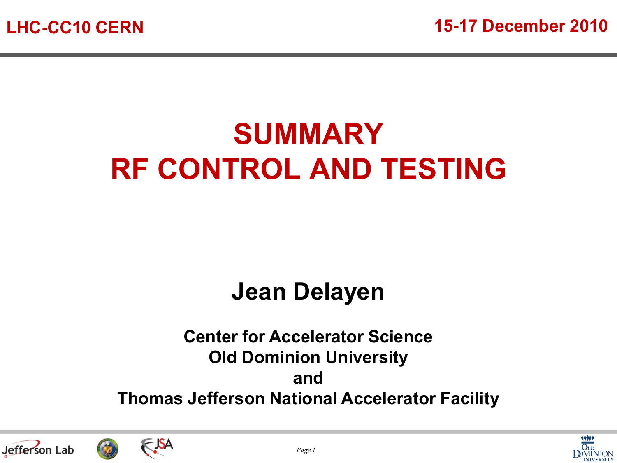## **SUMMARY RF CONTROL AND TESTING**

#### **Jean Delayen**

#### **Center for Accelerator Science Old Dominion University and Thomas Jefferson National Accelerator Facility**





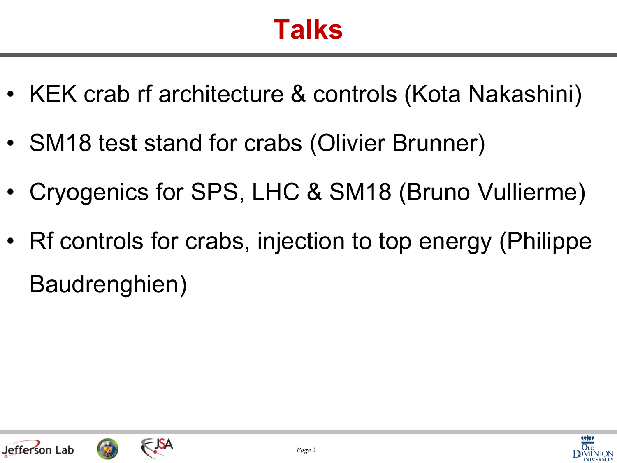### **Talks**

- KEK crab rf architecture & controls (Kota Nakashini)
- SM18 test stand for crabs (Olivier Brunner)
- Cryogenics for SPS, LHC & SM18 (Bruno Vullierme)
- Rf controls for crabs, injection to top energy (Philippe Baudrenghien)





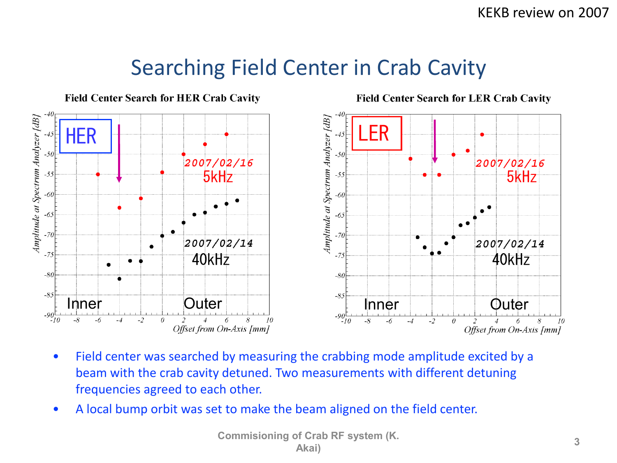#### Searching Field Center in Crab Cavity



- Field center was searched by measuring the crabbing mode amplitude excited by a beam with the crab cavity detuned. Two measurements with different detuning frequencies agreed to each other.
- A local bump orbit was set to make the beam aligned on the field center.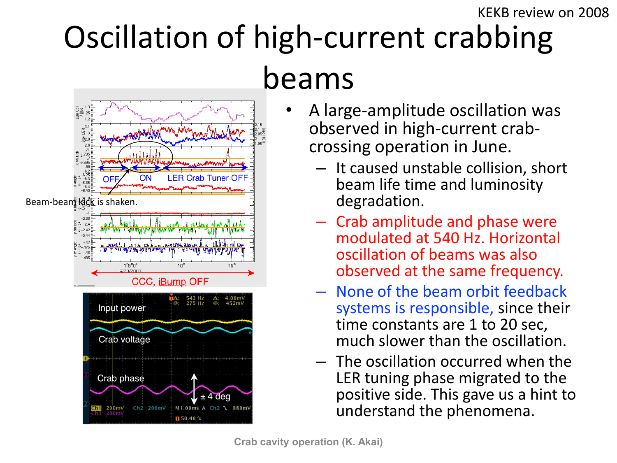#### Oscillation of high-current crabbing beams KEKB review on 2008



- A large-amplitude oscillation was observed in high-current crabcrossing operation in June.
	- It caused unstable collision, short beam life time and luminosity degradation.
	- Crab amplitude and phase were modulated at 540 Hz. Horizontal oscillation of beams was also observed at the same frequency.
	- None of the beam orbit feedback systems is responsible, since their time constants are 1 to 20 sec, much slower than the oscillation.
	- The oscillation occurred when the LER tuning phase migrated to the positive side. This gave us a hint to understand the phenomena.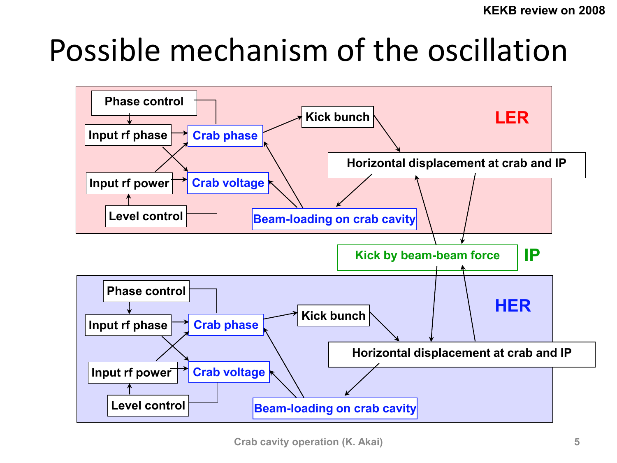## Possible mechanism of the oscillation

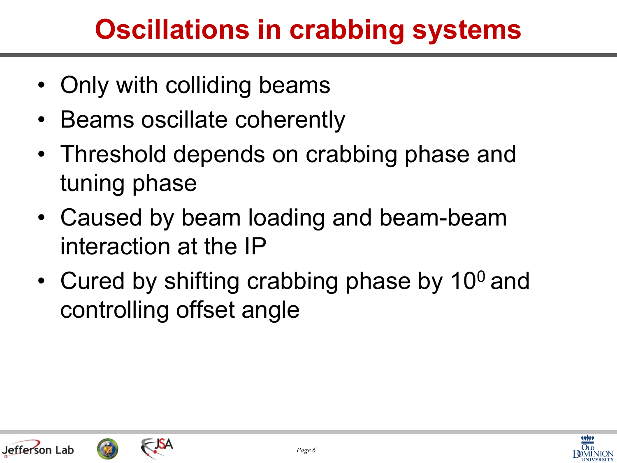## **Oscillations in crabbing systems**

- Only with colliding beams
- Beams oscillate coherently
- Threshold depends on crabbing phase and tuning phase
- Caused by beam loading and beam-beam interaction at the IP
- Cured by shifting crabbing phase by  $10^0$  and controlling offset angle





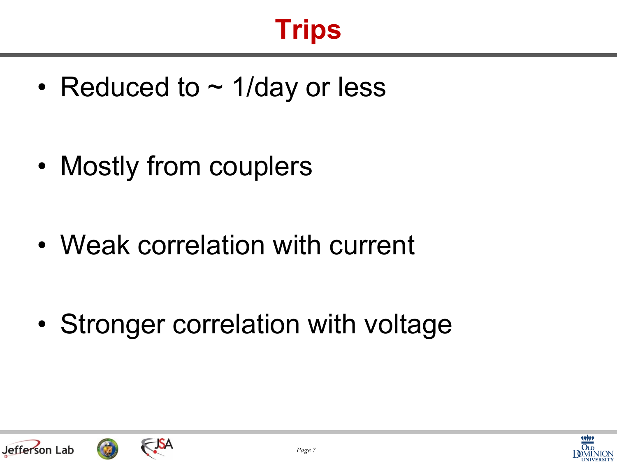## **Trips**

• Reduced to  $\sim$  1/day or less

• Mostly from couplers

Jefferson Lab

• Weak correlation with current

• Stronger correlation with voltage

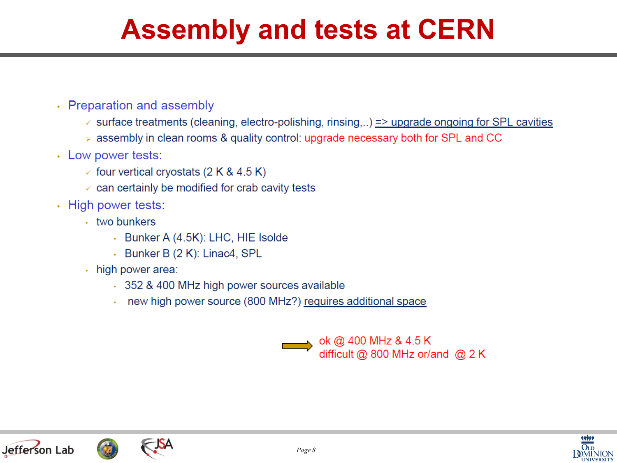### **Assembly and tests at CERN**

- Preparation and assembly
	- $\checkmark$  surface treatments (cleaning, electro-polishing, rinsing,..) => upgrade ongoing for SPL cavities
	- $\ge$  assembly in clean rooms & quality control: upgrade necessary both for SPL and CC
- Low power tests:
	- $\checkmark$  four vertical cryostats (2 K & 4.5 K)
	- $\checkmark$  can certainly be modified for crab cavity tests
- High power tests:
	- two bunkers
		- Bunker A (4.5K): LHC, HIE Isolde
		- Bunker B (2 K): Linac4, SPL
	- · high power area:
		- 352 & 400 MHz high power sources available
		- . new high power source (800 MHz?) requires additional space







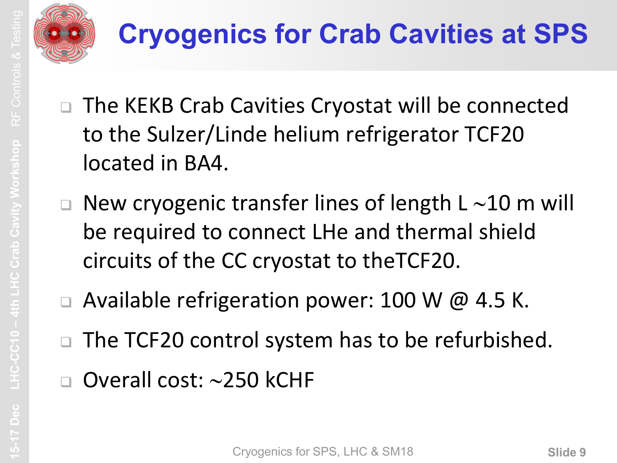

- □ The KEKB Crab Cavities Cryostat will be connected to the Sulzer/Linde helium refrigerator TCF20 located in BA4.
- $\Box$  New cryogenic transfer lines of length L  $\sim$ 10 m will be required to connect LHe and thermal shield circuits of the CC cryostat to theTCF20.
- $\Box$  Available refrigeration power: 100 W @ 4.5 K.
- □ The TCF20 control system has to be refurbished.
- $\Box$  Overall cost:  $\sim$ 250 kCHF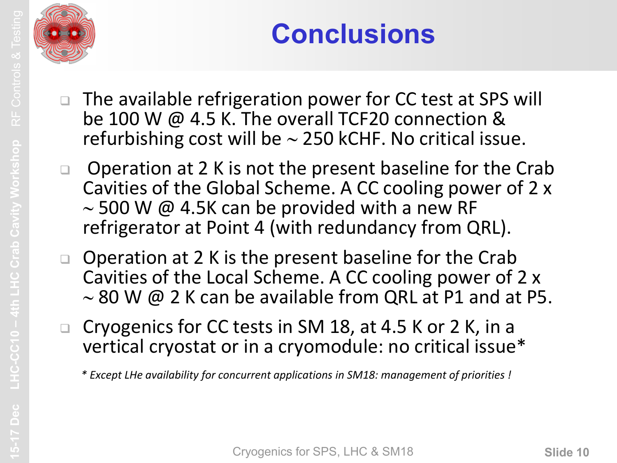

## **Conclusions**

- □ The available refrigeration power for CC test at SPS will be 100 W @ 4.5 K. The overall TCF20 connection & refurbishing cost will be  $\sim$  250 kCHF. No critical issue.
- □ Operation at 2 K is not the present baseline for the Crab Cavities of the Global Scheme. A CC cooling power of 2 x  $\sim$  500 W @ 4.5K can be provided with a new RF refrigerator at Point 4 (with redundancy from QRL).
- □ Operation at 2 K is the present baseline for the Crab Cavities of the Local Scheme. A CC cooling power of 2 x  $\sim$  80 W @ 2 K can be available from QRL at P1 and at P5.
- □ Cryogenics for CC tests in SM 18, at 4.5 K or 2 K, in a vertical cryostat or in a cryomodule: no critical issue\*

*\* Except LHe availability for concurrent applications in SM18: management of priorities !*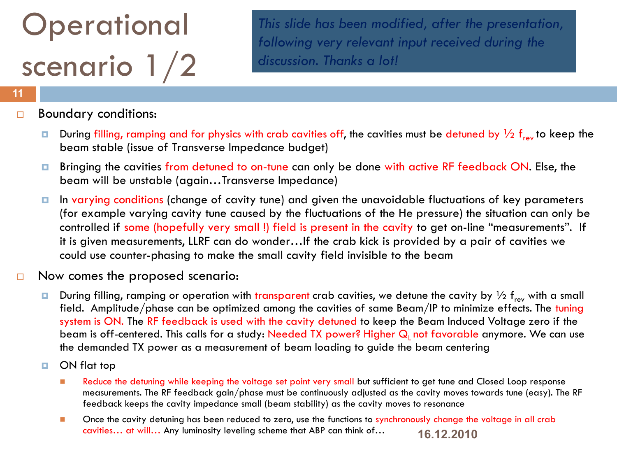# **Operational** scenario 1/2

*This slide has been modified, after the presentation, following very relevant input received during the discussion. Thanks a lot!*

#### **11**

#### Boundary conditions:

- During filling, ramping and for physics with crab cavities off, the cavities must be detuned by  $\frac{1}{2}$  f<sub>rev</sub> to keep the beam stable (issue of Transverse Impedance budget)
- Bringing the cavities from detuned to on-tune can only be done with active RF feedback ON. Else, the beam will be unstable (again…Transverse Impedance)
- In varying conditions (change of cavity tune) and given the unavoidable fluctuations of key parameters (for example varying cavity tune caused by the fluctuations of the He pressure) the situation can only be controlled if some (hopefully very small !) field is present in the cavity to get on-line "measurements". If it is given measurements, LLRF can do wonder…If the crab kick is provided by a pair of cavities we could use counter-phasing to make the small cavity field invisible to the beam
- $\Box$  Now comes the proposed scenario:
	- During filling, ramping or operation with transparent crab cavities, we detune the cavity by  $\frac{1}{2}$  f<sub>rev</sub> with a small field. Amplitude/phase can be optimized among the cavities of same Beam/IP to minimize effects. The tuning system is ON. The RF feedback is used with the cavity detuned to keep the Beam Induced Voltage zero if the beam is off-centered. This calls for a study: Needed TX power? Higher Q<sub>1</sub> not favorable anymore. We can use the demanded TX power as a measurement of beam loading to guide the beam centering
	- ON flat top
		- Reduce the detuning while keeping the voltage set point very small but sufficient to get tune and Closed Loop response measurements. The RF feedback gain/phase must be continuously adjusted as the cavity moves towards tune (easy). The RF feedback keeps the cavity impedance small (beam stability) as the cavity moves to resonance
		- **16.12.2010 Drace the cavity detuning has been reduced to zero, use the functions to synchronously change the voltage in all crab** cavities… at will… Any luminosity leveling scheme that ABP can think of…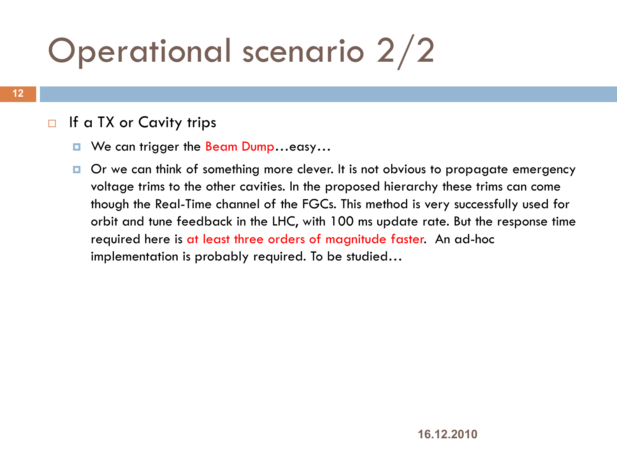# Operational scenario 2/2

#### $\Box$  If a TX or Cavity trips

- We can trigger the Beam Dump...easy...
- $\Box$  Or we can think of something more clever. It is not obvious to propagate emergency voltage trims to the other cavities. In the proposed hierarchy these trims can come though the Real-Time channel of the FGCs. This method is very successfully used for orbit and tune feedback in the LHC, with 100 ms update rate. But the response time required here is at least three orders of magnitude faster. An ad-hoc implementation is probably required. To be studied…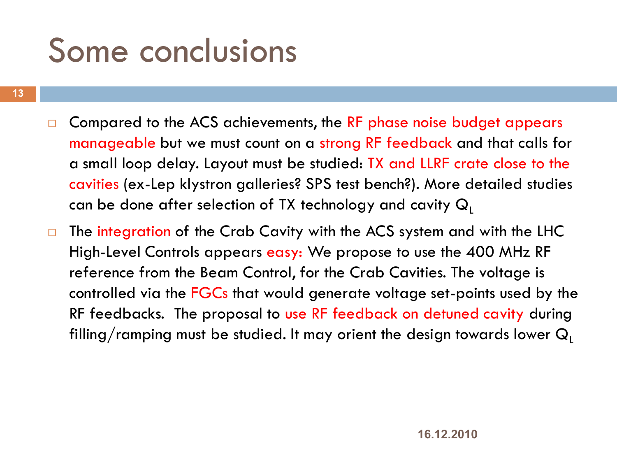## Some conclusions

- **13**
- $\Box$  Compared to the ACS achievements, the RF phase noise budget appears manageable but we must count on a strong RF feedback and that calls for a small loop delay. Layout must be studied: TX and LLRF crate close to the cavities (ex-Lep klystron galleries? SPS test bench?). More detailed studies can be done after selection of TX technology and cavity  $Q_1$
- The integration of the Crab Cavity with the ACS system and with the LHC High-Level Controls appears easy: We propose to use the 400 MHz RF reference from the Beam Control, for the Crab Cavities. The voltage is controlled via the FGCs that would generate voltage set-points used by the RF feedbacks. The proposal to use RF feedback on detuned cavity during filling/ramping must be studied. It may orient the design towards lower  $Q_1$